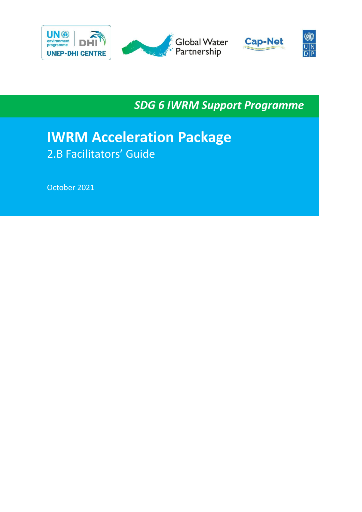

*SDG 6 IWRM Support Programme*

# **IWRM Acceleration Package** 2.B Facilitators' Guide

October 2021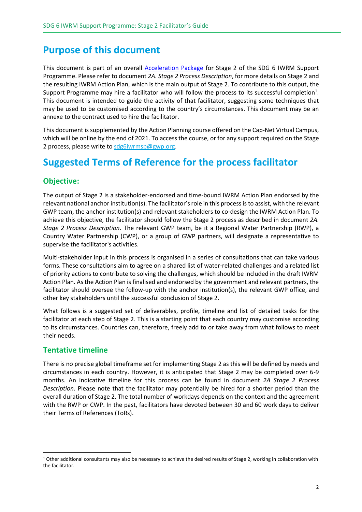## **Purpose of this document**

This document is part of an overall [Acceleration Package](https://www.gwp.org/en/sdg6support/consultations/where-we-need-to-go/acceleration-package/) for Stage 2 of the SDG 6 IWRM Support Programme. Please refer to document *2A. Stage 2 Process Description*, for more details on Stage 2 and the resulting IWRM Action Plan, which is the main output of Stage 2. To contribute to this output, the Support Programme may hire a facilitator who will follow the process to its successful completion<sup>1</sup>. This document is intended to guide the activity of that facilitator, suggesting some techniques that may be used to be customised according to the country's circumstances. This document may be an annexe to the contract used to hire the facilitator.

This document is supplemented by the Action Planning course offered on the Cap-Net Virtual Campus, which will be online by the end of 2021. To access the course, or for any support required on the Stage 2 process, please write to [sdg6iwrmsp@gwp.org.](mailto:sdg6iwrmsp@gwp.org)

## **Suggested Terms of Reference for the process facilitator**

## **Objective:**

The output of Stage 2 is a stakeholder-endorsed and time-bound IWRM Action Plan endorsed by the relevant national anchor institution(s). The facilitator's role in this process is to assist, with the relevant GWP team, the anchor institution(s) and relevant stakeholders to co-design the IWRM Action Plan. To achieve this objective, the facilitator should follow the Stage 2 process as described in document *2A. Stage 2 Process Description*. The relevant GWP team, be it a Regional Water Partnership (RWP), a Country Water Partnership (CWP), or a group of GWP partners, will designate a representative to supervise the facilitator's activities.

Multi-stakeholder input in this process is organised in a series of consultations that can take various forms. These consultations aim to agree on a shared list of water-related challenges and a related list of priority actions to contribute to solving the challenges, which should be included in the draft IWRM Action Plan. As the Action Plan is finalised and endorsed by the government and relevant partners, the facilitator should oversee the follow-up with the anchor institution(s), the relevant GWP office, and other key stakeholders until the successful conclusion of Stage 2.

What follows is a suggested set of deliverables, profile, timeline and list of detailed tasks for the facilitator at each step of Stage 2. This is a starting point that each country may customise according to its circumstances. Countries can, therefore, freely add to or take away from what follows to meet their needs.

### **Tentative timeline**

There is no precise global timeframe set for implementing Stage 2 as this will be defined by needs and circumstances in each country. However, it is anticipated that Stage 2 may be completed over 6-9 months. An indicative timeline for this process can be found in document *2A Stage 2 Process Description*. Please note that the facilitator may potentially be hired for a shorter period than the overall duration of Stage 2. The total number of workdays depends on the context and the agreement with the RWP or CWP. In the past, facilitators have devoted between 30 and 60 work days to deliver their Terms of References (ToRs).

 $1$  Other additional consultants may also be necessary to achieve the desired results of Stage 2, working in collaboration with the facilitator.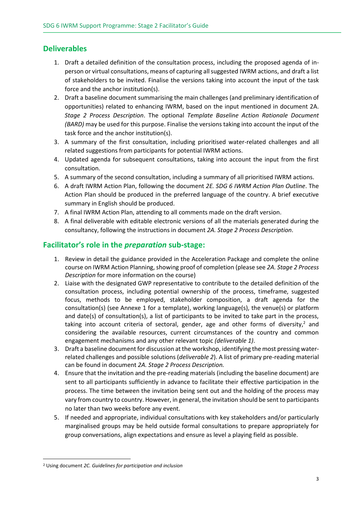### **Deliverables**

- 1. Draft a detailed definition of the consultation process, including the proposed agenda of inperson or virtual consultations, means of capturing all suggested IWRM actions, and draft a list of stakeholders to be invited. Finalise the versions taking into account the input of the task force and the anchor institution(s).
- 2. Draft a baseline document summarising the main challenges (and preliminary identification of opportunities) related to enhancing IWRM, based on the input mentioned in document 2A. *Stage 2 Process Description*. The optional *Template Baseline Action Rationale Document (BARD)* may be used for this purpose. Finalise the versions taking into account the input of the task force and the anchor institution(s).
- 3. A summary of the first consultation, including prioritised water-related challenges and all related suggestions from participants for potential IWRM actions.
- 4. Updated agenda for subsequent consultations, taking into account the input from the first consultation.
- 5. A summary of the second consultation, including a summary of all prioritised IWRM actions.
- 6. A draft IWRM Action Plan, following the document *2E. SDG 6 IWRM Action Plan Outline*. The Action Plan should be produced in the preferred language of the country. A brief executive summary in English should be produced.
- 7. A final IWRM Action Plan, attending to all comments made on the draft version.
- 8. A final deliverable with editable electronic versions of all the materials generated during the consultancy, following the instructions in document *2A. Stage 2 Process Description*.

### **Facilitator's role in the** *preparation* **sub-stage:**

- 1. Review in detail the guidance provided in the Acceleration Package and complete the online course on IWRM Action Planning, showing proof of completion (please see *2A. Stage 2 Process Description* for more information on the course)
- 2. Liaise with the designated GWP representative to contribute to the detailed definition of the consultation process, including potential ownership of the process, timeframe, suggested focus, methods to be employed, stakeholder composition, a draft agenda for the consultation(s) (see Annexe 1 for a template), working language(s), the venue(s) or platform and date(s) of consultation(s), a list of participants to be invited to take part in the process, taking into account criteria of sectoral, gender, age and other forms of diversity, $^2$  and considering the available resources, current circumstances of the country and common engagement mechanisms and any other relevant topic *(deliverable 1)*.
- 3. Draft a baseline document for discussion at the workshop, identifying the most pressing waterrelated challenges and possible solutions (*deliverable 2*). A list of primary pre-reading material can be found in document *2A. Stage 2 Process Description.*
- 4. Ensure that the invitation and the pre-reading materials (including the baseline document) are sent to all participants sufficiently in advance to facilitate their effective participation in the process. The time between the invitation being sent out and the holding of the process may vary from country to country. However, in general, the invitation should be sent to participants no later than two weeks before any event.
- 5. If needed and appropriate, individual consultations with key stakeholders and/or particularly marginalised groups may be held outside formal consultations to prepare appropriately for group conversations, align expectations and ensure as level a playing field as possible.

<sup>2</sup> Using document *2C. Guidelines for participation and inclusion*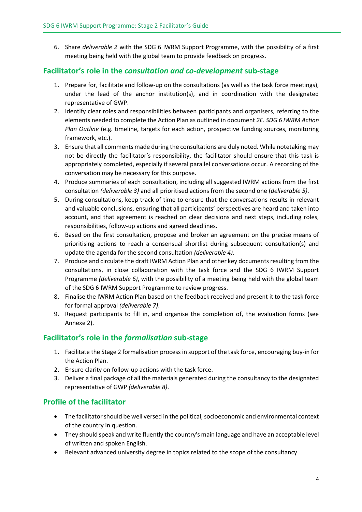6. Share *deliverable 2* with the SDG 6 IWRM Support Programme, with the possibility of a first meeting being held with the global team to provide feedback on progress.

### **Facilitator's role in the** *consultation and co-development* **sub-stage**

- 1. Prepare for, facilitate and follow-up on the consultations (as well as the task force meetings), under the lead of the anchor institution(s), and in coordination with the designated representative of GWP.
- 2. Identify clear roles and responsibilities between participants and organisers, referring to the elements needed to complete the Action Plan as outlined in document *2E. SDG 6 IWRM Action Plan Outline* (e.g. timeline, targets for each action, prospective funding sources, monitoring framework, etc.).
- 3. Ensure that all comments made during the consultations are duly noted. While notetaking may not be directly the facilitator's responsibility, the facilitator should ensure that this task is appropriately completed, especially if several parallel conversations occur. A recording of the conversation may be necessary for this purpose.
- 4. Produce summaries of each consultation, including all suggested IWRM actions from the first consultation *(deliverable 3)* and all prioritised actions from the second one (*deliverable 5)*.
- 5. During consultations, keep track of time to ensure that the conversations results in relevant and valuable conclusions, ensuring that all participants' perspectives are heard and taken into account, and that agreement is reached on clear decisions and next steps, including roles, responsibilities, follow-up actions and agreed deadlines.
- 6. Based on the first consultation, propose and broker an agreement on the precise means of prioritising actions to reach a consensual shortlist during subsequent consultation(s) and update the agenda for the second consultation *(deliverable 4).*
- 7. Produce and circulate the draft IWRM Action Plan and other key documents resulting from the consultations, in close collaboration with the task force and the SDG 6 IWRM Support Programme *(deliverable 6)*, with the possibility of a meeting being held with the global team of the SDG 6 IWRM Support Programme to review progress.
- 8. Finalise the IWRM Action Plan based on the feedback received and present it to the task force for formal approval *(deliverable 7)*.
- 9. Request participants to fill in, and organise the completion of, the evaluation forms (see Annexe 2).

### **Facilitator's role in the** *formalisation* **sub-stage**

- 1. Facilitate the Stage 2 formalisation process in support of the task force, encouraging buy-in for the Action Plan.
- 2. Ensure clarity on follow-up actions with the task force.
- 3. Deliver a final package of all the materials generated during the consultancy to the designated representative of GWP *(deliverable 8)*.

### **Profile of the facilitator**

- The facilitator should be well versed in the political, socioeconomic and environmental context of the country in question.
- They should speak and write fluently the country's main language and have an acceptable level of written and spoken English.
- Relevant advanced university degree in topics related to the scope of the consultancy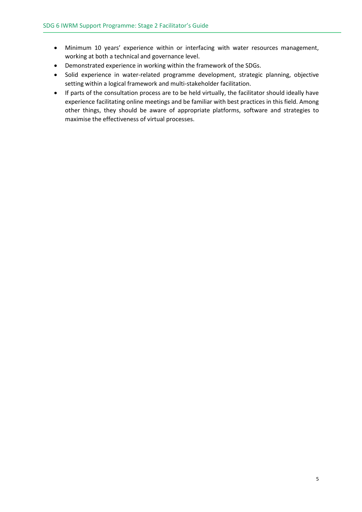- Minimum 10 years' experience within or interfacing with water resources management, working at both a technical and governance level.
- Demonstrated experience in working within the framework of the SDGs.
- Solid experience in water-related programme development, strategic planning, objective setting within a logical framework and multi-stakeholder facilitation.
- If parts of the consultation process are to be held virtually, the facilitator should ideally have experience facilitating online meetings and be familiar with best practices in this field. Among other things, they should be aware of appropriate platforms, software and strategies to maximise the effectiveness of virtual processes.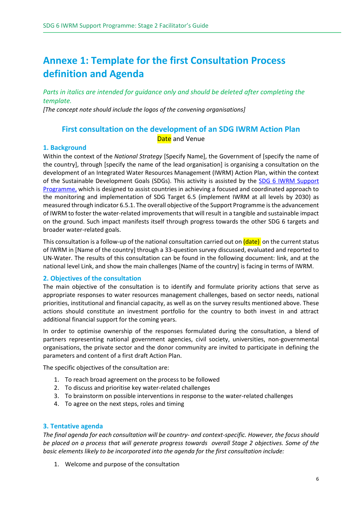## **Annexe 1: Template for the first Consultation Process definition and Agenda**

*Parts in italics are intended for guidance only and should be deleted after completing the template.*

*[The concept note should include the logos of the convening organisations]*

### **First consultation on the development of an SDG IWRM Action Plan Date** and Venue

#### **1. Background**

Within the context of the *National Strategy* [Specify Name], the Government of [specify the name of the country], through [specify the name of the lead organisation] is organising a consultation on the development of an Integrated Water Resources Management (IWRM) Action Plan, within the context of the Sustainable Development Goals (SDGs). This activity is assisted by the [SDG 6 IWRM](https://www.gwp.org/en/sdg6support/) Support [Programme,](https://www.gwp.org/en/sdg6support/) which is designed to assist countries in achieving a focused and coordinated approach to the monitoring and implementation of SDG Target 6.5 (implement IWRM at all levels by 2030) as measured through indicator 6.5.1. The overall objective of the Support Programme is the advancement of IWRM to foster the water-related improvements that will result in a tangible and sustainable impact on the ground. Such impact manifests itself through progress towards the other SDG 6 targets and broader water-related goals.

This consultation is a follow-up of the national consultation carried out on **(date)** on the current status of IWRM in [Name of the country] through a 33-question survey discussed, evaluated and reported to UN-Water. The results of this consultation can be found in the following document: link, and at the national level Link, and show the main challenges [Name of the country] is facing in terms of IWRM.

#### **2. Objectives of the consultation**

The main objective of the consultation is to identify and formulate priority actions that serve as appropriate responses to water resources management challenges, based on sector needs, national priorities, institutional and financial capacity, as well as on the survey results mentioned above. These actions should constitute an investment portfolio for the country to both invest in and attract additional financial support for the coming years.

In order to optimise ownership of the responses formulated during the consultation, a blend of partners representing national government agencies, civil society, universities, non-governmental organisations, the private sector and the donor community are invited to participate in defining the parameters and content of a first draft Action Plan.

The specific objectives of the consultation are:

- 1. To reach broad agreement on the process to be followed
- 2. To discuss and prioritise key water-related challenges
- 3. To brainstorm on possible interventions in response to the water-related challenges
- 4. To agree on the next steps, roles and timing

#### **3. Tentative agenda**

*The final agenda for each consultation will be country- and context-specific. However, the focus should be placed on a process that will generate progress towards overall Stage 2 objectives. Some of the basic elements likely to be incorporated into the agenda for the first consultation include:* 

1. Welcome and purpose of the consultation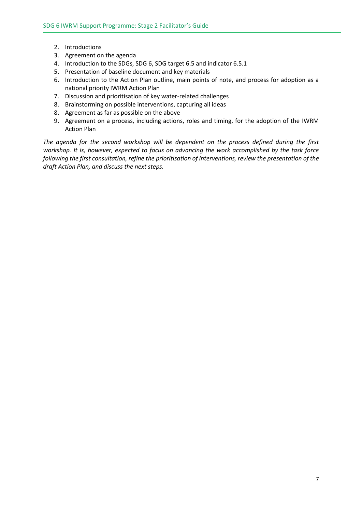- 2. Introductions
- 3. Agreement on the agenda
- 4. Introduction to the SDGs, SDG 6, SDG target 6.5 and indicator 6.5.1
- 5. Presentation of baseline document and key materials
- 6. Introduction to the Action Plan outline, main points of note, and process for adoption as a national priority IWRM Action Plan
- 7. Discussion and prioritisation of key water-related challenges
- 8. Brainstorming on possible interventions, capturing all ideas
- 8. Agreement as far as possible on the above
- 9. Agreement on a process, including actions, roles and timing, for the adoption of the IWRM Action Plan

*The agenda for the second workshop will be dependent on the process defined during the first workshop. It is, however, expected to focus on advancing the work accomplished by the task force following the first consultation, refine the prioritisation of interventions, review the presentation of the draft Action Plan, and discuss the next steps.*